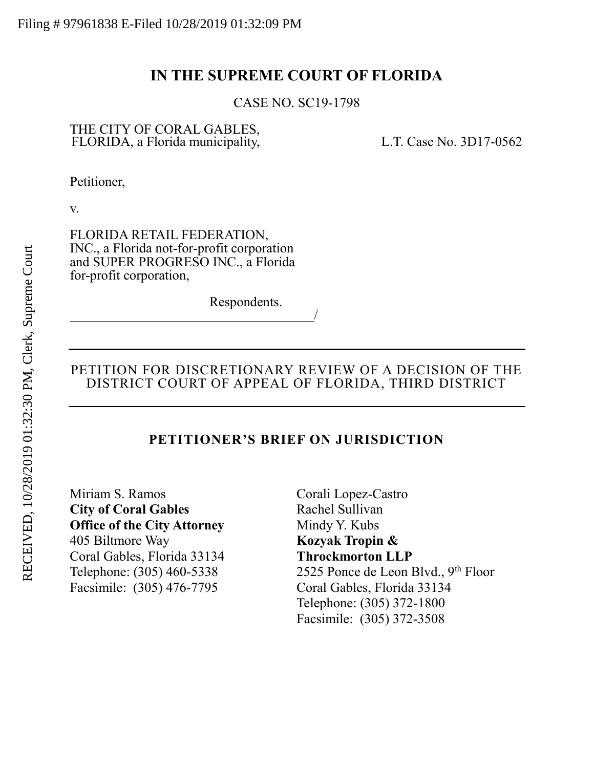# **IN THE SUPREME COURT OF FLORIDA**

CASE NO. SC19-1798

## THE CITY OF CORAL GABLES, FLORIDA, a Florida municipality, L.T. Case No. 3D17-0562

Petitioner,

v.

FLORIDA RETAIL FEDERATION, INC., a Florida not-for-profit corporation and SUPER PROGRESO INC., a Florida for-profit corporation,

Respondents.

## PETITION FOR DISCRETIONARY REVIEW OF A DECISION OF THE DISTRICT COURT OF APPEAL OF FLORIDA, THIRD DISTRICT

/

## **PETITIONER'S BRIEF ON JURISDICTION**

Miriam S. Ramos **City of Coral Gables Office of the City Attorney** 405 Biltmore Way Coral Gables, Florida 33134 Telephone: (305) 460-5338 Facsimile: (305) 476-7795

Corali Lopez-Castro Rachel Sullivan Mindy Y. Kubs **Kozyak Tropin & Throckmorton LLP** 2525 Ponce de Leon Blvd.,  $9<sup>th</sup>$  Floor Coral Gables, Florida 33134 Telephone: (305) 372-1800 Facsimile: (305) 372-3508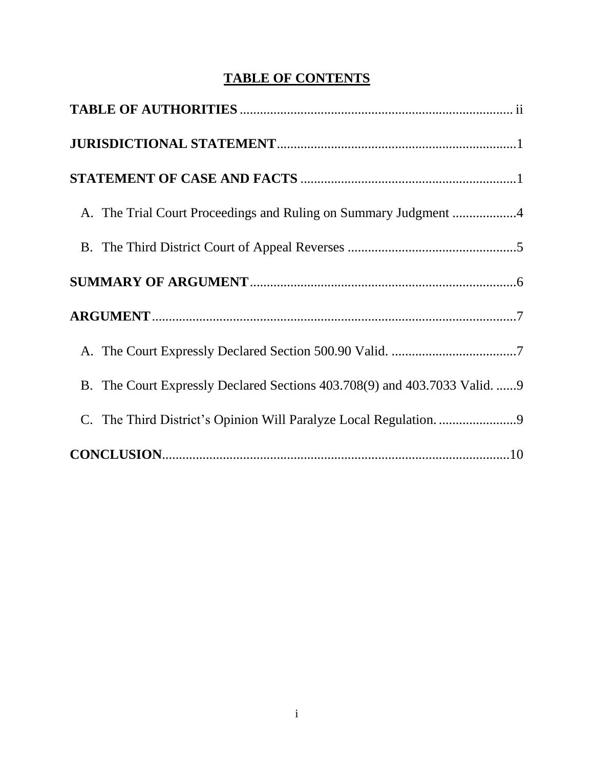# **TABLE OF CONTENTS**

| B. The Court Expressly Declared Sections 403.708(9) and 403.7033 Valid. 9 |
|---------------------------------------------------------------------------|
| C. The Third District's Opinion Will Paralyze Local Regulation. 9         |
|                                                                           |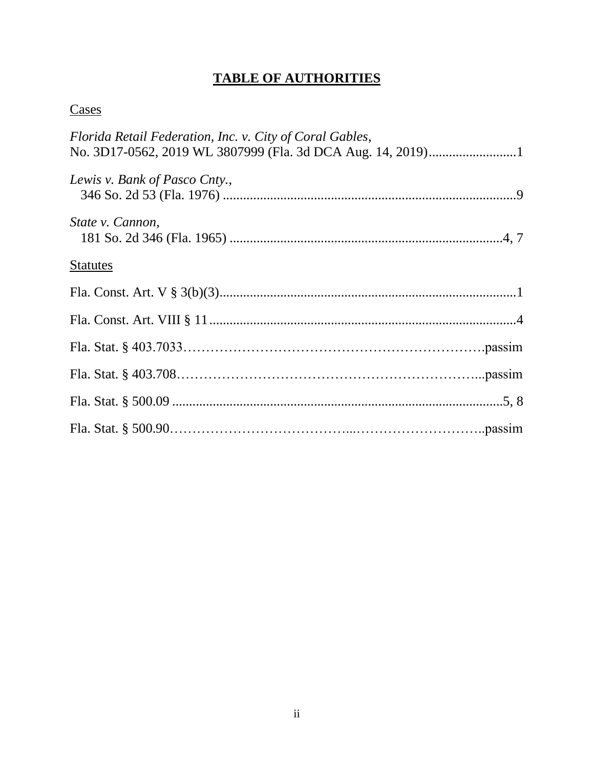# **TABLE OF AUTHORITIES**

# <span id="page-2-0"></span>**Cases**

| Florida Retail Federation, Inc. v. City of Coral Gables, |
|----------------------------------------------------------|
|                                                          |
| Lewis v. Bank of Pasco Cnty.,                            |
| State v. Cannon,                                         |
| <b>Statutes</b>                                          |
|                                                          |
|                                                          |
|                                                          |
|                                                          |
|                                                          |
|                                                          |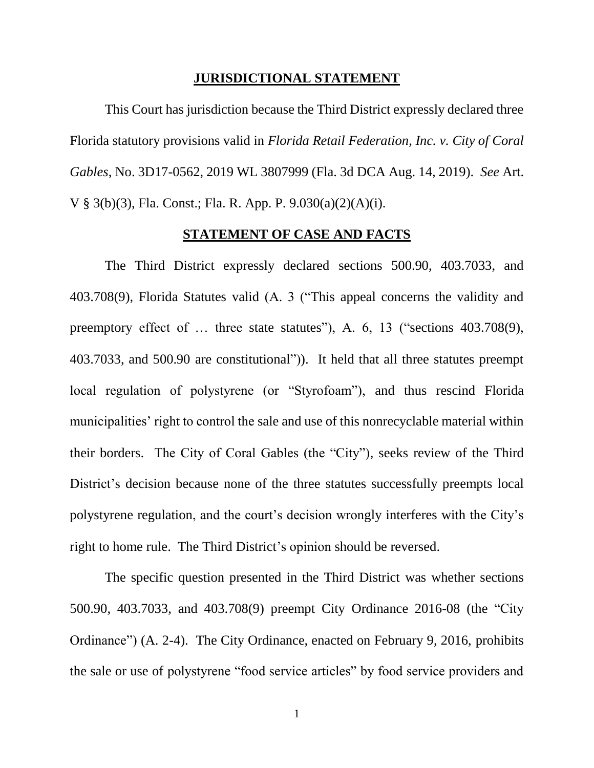#### **JURISDICTIONAL STATEMENT**

<span id="page-3-0"></span>This Court has jurisdiction because the Third District expressly declared three Florida statutory provisions valid in *Florida Retail Federation, Inc. v. City of Coral Gables*, No. 3D17-0562, 2019 WL 3807999 (Fla. 3d DCA Aug. 14, 2019). *See* Art. V § 3(b)(3), Fla. Const.; Fla. R. App. P. 9.030(a)(2)(A)(i).

## **STATEMENT OF CASE AND FACTS**

<span id="page-3-1"></span>The Third District expressly declared sections 500.90, 403.7033, and 403.708(9), Florida Statutes valid (A. 3 ("This appeal concerns the validity and preemptory effect of ... three state statutes"), A. 6, 13 ("sections 403.708(9), 403.7033, and 500.90 are constitutional")). It held that all three statutes preempt local regulation of polystyrene (or "Styrofoam"), and thus rescind Florida municipalities' right to control the sale and use of this nonrecyclable material within their borders. The City of Coral Gables (the "City"), seeks review of the Third District's decision because none of the three statutes successfully preempts local polystyrene regulation, and the court's decision wrongly interferes with the City's right to home rule. The Third District's opinion should be reversed.

The specific question presented in the Third District was whether sections 500.90, 403.7033, and 403.708(9) preempt City Ordinance 2016-08 (the "City Ordinance") (A. 2-4). The City Ordinance, enacted on February 9, 2016, prohibits the sale or use of polystyrene "food service articles" by food service providers and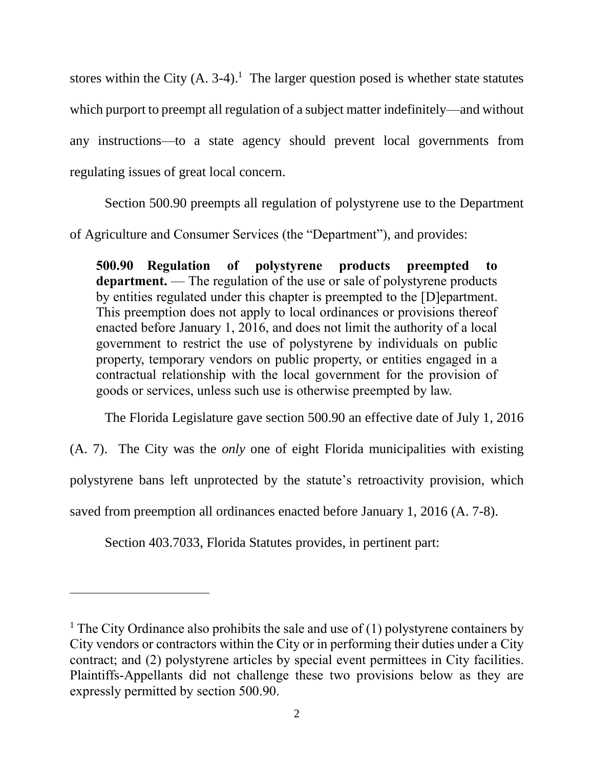stores within the City  $(A, 3-4)$ .<sup>1</sup> The larger question posed is whether state statutes which purport to preempt all regulation of a subject matter indefinitely—and without any instructions—to a state agency should prevent local governments from regulating issues of great local concern.

Section 500.90 preempts all regulation of polystyrene use to the Department of Agriculture and Consumer Services (the "Department"), and provides:

**500.90 Regulation of polystyrene products preempted to department.** — The regulation of the use or sale of polystyrene products by entities regulated under this chapter is preempted to the [D]epartment. This preemption does not apply to local ordinances or provisions thereof enacted before January 1, 2016, and does not limit the authority of a local government to restrict the use of polystyrene by individuals on public property, temporary vendors on public property, or entities engaged in a contractual relationship with the local government for the provision of goods or services, unless such use is otherwise preempted by law.

The Florida Legislature gave section 500.90 an effective date of July 1, 2016

(A. 7). The City was the *only* one of eight Florida municipalities with existing

polystyrene bans left unprotected by the statute's retroactivity provision, which

saved from preemption all ordinances enacted before January 1, 2016 (A. 7-8).

Section 403.7033, Florida Statutes provides, in pertinent part:

 $\overline{a}$ 

<sup>&</sup>lt;sup>1</sup> The City Ordinance also prohibits the sale and use of (1) polystyrene containers by City vendors or contractors within the City or in performing their duties under a City contract; and (2) polystyrene articles by special event permittees in City facilities. Plaintiffs-Appellants did not challenge these two provisions below as they are expressly permitted by section 500.90.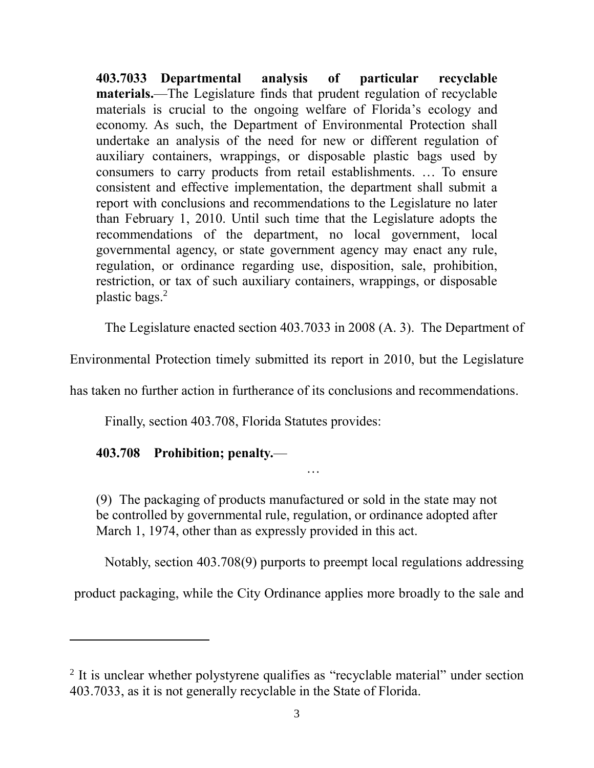**403.7033 Departmental analysis of particular recyclable materials.**—The Legislature finds that prudent regulation of recyclable materials is crucial to the ongoing welfare of Florida's ecology and economy. As such, the Department of Environmental Protection shall undertake an analysis of the need for new or different regulation of auxiliary containers, wrappings, or disposable plastic bags used by consumers to carry products from retail establishments. … To ensure consistent and effective implementation, the department shall submit a report with conclusions and recommendations to the Legislature no later than February 1, 2010. Until such time that the Legislature adopts the recommendations of the department, no local government, local governmental agency, or state government agency may enact any rule, regulation, or ordinance regarding use, disposition, sale, prohibition, restriction, or tax of such auxiliary containers, wrappings, or disposable plastic bags.<sup>2</sup>

The Legislature enacted section 403.7033 in 2008 (A. 3). The Department of

Environmental Protection timely submitted its report in 2010, but the Legislature

has taken no further action in furtherance of its conclusions and recommendations.

Finally, section 403.708, Florida Statutes provides:

## **403.708 Prohibition; penalty.**—

 $\overline{\phantom{a}}$ 

man and the contract of the contract of the contract of

(9) The packaging of products manufactured or sold in the state may not be controlled by governmental rule, regulation, or ordinance adopted after March 1, 1974, other than as expressly provided in this act.

Notably, section 403.708(9) purports to preempt local regulations addressing

product packaging, while the City Ordinance applies more broadly to the sale and

<sup>&</sup>lt;sup>2</sup> It is unclear whether polystyrene qualifies as "recyclable material" under section 403.7033, as it is not generally recyclable in the State of Florida.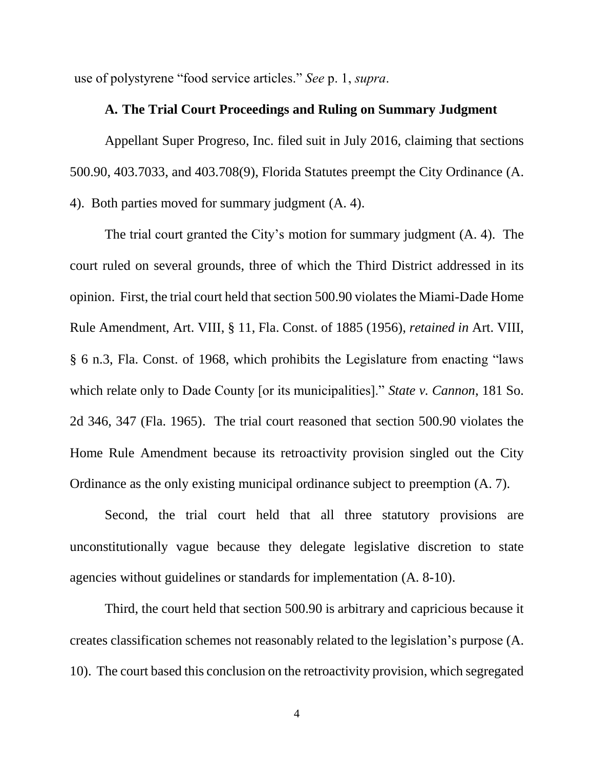<span id="page-6-0"></span>use of polystyrene "food service articles." *See* p. 1, *supra*.

#### **A. The Trial Court Proceedings and Ruling on Summary Judgment**

Appellant Super Progreso, Inc. filed suit in July 2016, claiming that sections 500.90, 403.7033, and 403.708(9), Florida Statutes preempt the City Ordinance (A. 4). Both parties moved for summary judgment (A. 4).

The trial court granted the City's motion for summary judgment (A. 4). The court ruled on several grounds, three of which the Third District addressed in its opinion. First, the trial court held that section 500.90 violates the Miami-Dade Home Rule Amendment, Art. VIII, § 11, Fla. Const. of 1885 (1956), *retained in* Art. VIII, § 6 n.3, Fla. Const. of 1968, which prohibits the Legislature from enacting "laws which relate only to Dade County [or its municipalities]." *State v. Cannon*, 181 So. 2d 346, 347 (Fla. 1965). The trial court reasoned that section 500.90 violates the Home Rule Amendment because its retroactivity provision singled out the City Ordinance as the only existing municipal ordinance subject to preemption (A. 7).

Second, the trial court held that all three statutory provisions are unconstitutionally vague because they delegate legislative discretion to state agencies without guidelines or standards for implementation (A. 8-10).

Third, the court held that section 500.90 is arbitrary and capricious because it creates classification schemes not reasonably related to the legislation's purpose (A. 10). The court based this conclusion on the retroactivity provision, which segregated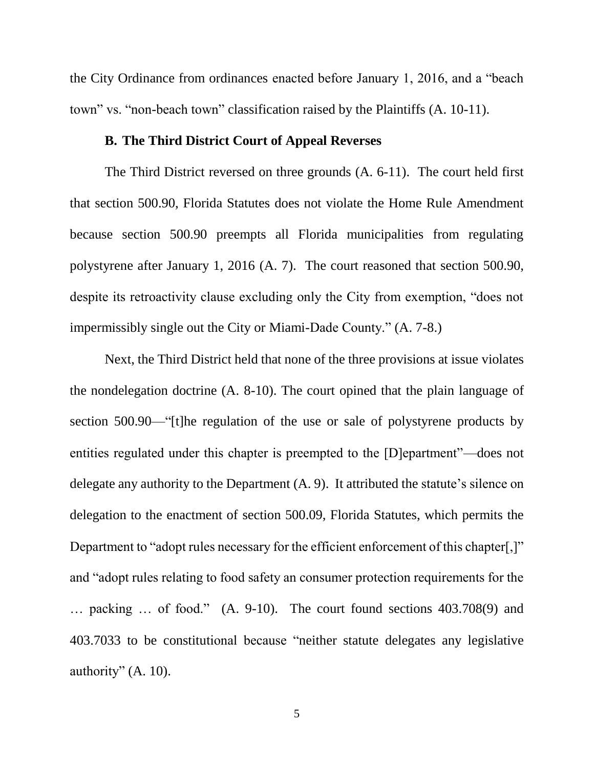the City Ordinance from ordinances enacted before January 1, 2016, and a "beach town" vs. "non-beach town" classification raised by the Plaintiffs (A. 10-11).

## **B. The Third District Court of Appeal Reverses**

<span id="page-7-0"></span>The Third District reversed on three grounds (A. 6-11). The court held first that section 500.90, Florida Statutes does not violate the Home Rule Amendment because section 500.90 preempts all Florida municipalities from regulating polystyrene after January 1, 2016 (A. 7). The court reasoned that section 500.90, despite its retroactivity clause excluding only the City from exemption, "does not impermissibly single out the City or Miami-Dade County." (A. 7-8.)

Next, the Third District held that none of the three provisions at issue violates the nondelegation doctrine (A. 8-10). The court opined that the plain language of section 500.90—"[t]he regulation of the use or sale of polystyrene products by entities regulated under this chapter is preempted to the [D]epartment"—does not delegate any authority to the Department (A. 9). It attributed the statute's silence on delegation to the enactment of section 500.09, Florida Statutes, which permits the Department to "adopt rules necessary for the efficient enforcement of this chapter..." and "adopt rules relating to food safety an consumer protection requirements for the … packing … of food." (A. 9-10). The court found sections 403.708(9) and 403.7033 to be constitutional because "neither statute delegates any legislative authority" (A. 10).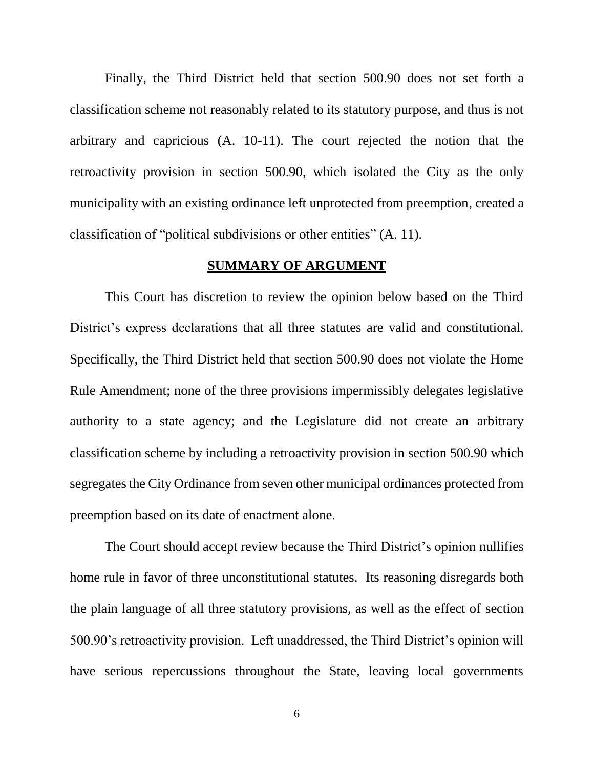Finally, the Third District held that section 500.90 does not set forth a classification scheme not reasonably related to its statutory purpose, and thus is not arbitrary and capricious (A. 10-11). The court rejected the notion that the retroactivity provision in section 500.90, which isolated the City as the only municipality with an existing ordinance left unprotected from preemption, created a classification of "political subdivisions or other entities" (A. 11).

## **SUMMARY OF ARGUMENT**

<span id="page-8-0"></span>This Court has discretion to review the opinion below based on the Third District's express declarations that all three statutes are valid and constitutional. Specifically, the Third District held that section 500.90 does not violate the Home Rule Amendment; none of the three provisions impermissibly delegates legislative authority to a state agency; and the Legislature did not create an arbitrary classification scheme by including a retroactivity provision in section 500.90 which segregates the City Ordinance from seven other municipal ordinances protected from preemption based on its date of enactment alone.

The Court should accept review because the Third District's opinion nullifies home rule in favor of three unconstitutional statutes. Its reasoning disregards both the plain language of all three statutory provisions, as well as the effect of section 500.90's retroactivity provision. Left unaddressed, the Third District's opinion will have serious repercussions throughout the State, leaving local governments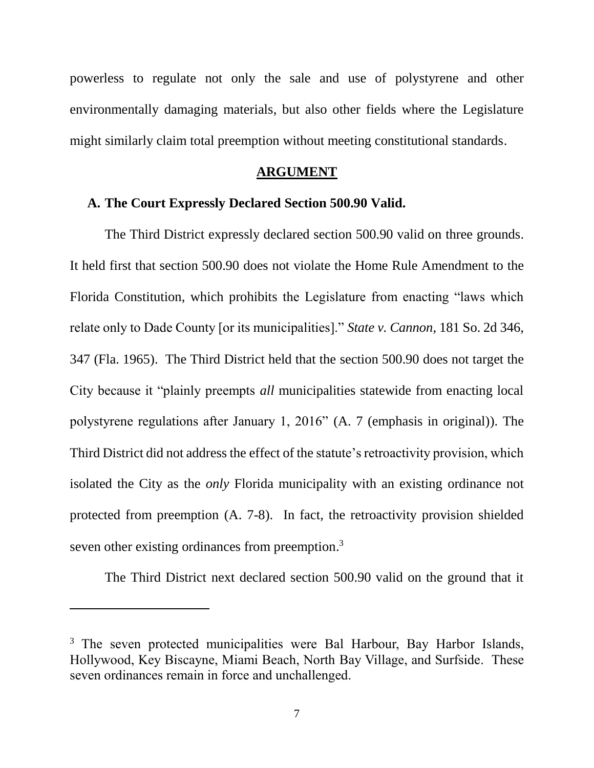powerless to regulate not only the sale and use of polystyrene and other environmentally damaging materials, but also other fields where the Legislature might similarly claim total preemption without meeting constitutional standards.

## **ARGUMENT**

#### <span id="page-9-1"></span><span id="page-9-0"></span>**A. The Court Expressly Declared Section 500.90 Valid.**

The Third District expressly declared section 500.90 valid on three grounds. It held first that section 500.90 does not violate the Home Rule Amendment to the Florida Constitution, which prohibits the Legislature from enacting "laws which relate only to Dade County [or its municipalities]." *State v. Cannon*, 181 So. 2d 346, 347 (Fla. 1965). The Third District held that the section 500.90 does not target the City because it "plainly preempts *all* municipalities statewide from enacting local polystyrene regulations after January 1, 2016" (A. 7 (emphasis in original)). The Third District did not address the effect of the statute's retroactivity provision, which isolated the City as the *only* Florida municipality with an existing ordinance not protected from preemption (A. 7-8). In fact, the retroactivity provision shielded seven other existing ordinances from preemption.<sup>3</sup>

The Third District next declared section 500.90 valid on the ground that it

 $\overline{\phantom{a}}$ 

<sup>&</sup>lt;sup>3</sup> The seven protected municipalities were Bal Harbour, Bay Harbor Islands, Hollywood, Key Biscayne, Miami Beach, North Bay Village, and Surfside. These seven ordinances remain in force and unchallenged.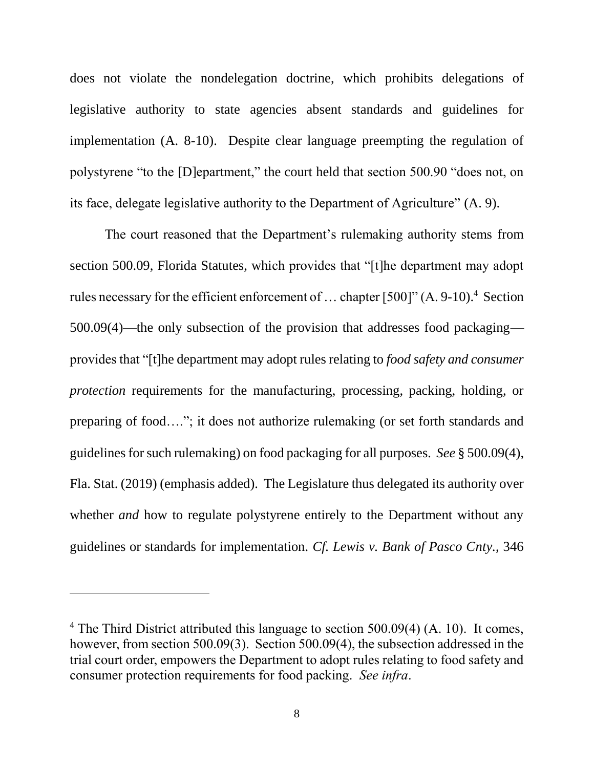does not violate the nondelegation doctrine, which prohibits delegations of legislative authority to state agencies absent standards and guidelines for implementation (A. 8-10). Despite clear language preempting the regulation of polystyrene "to the [D]epartment," the court held that section 500.90 "does not, on its face, delegate legislative authority to the Department of Agriculture" (A. 9).

The court reasoned that the Department's rulemaking authority stems from section 500.09, Florida Statutes, which provides that "[t]he department may adopt rules necessary for the efficient enforcement of  $\dots$  chapter [500]" (A. 9-10).<sup>4</sup> Section 500.09(4)—the only subsection of the provision that addresses food packaging provides that "[t]he department may adopt rules relating to *food safety and consumer protection* requirements for the manufacturing, processing, packing, holding, or preparing of food…."; it does not authorize rulemaking (or set forth standards and guidelines for such rulemaking) on food packaging for all purposes. *See* § 500.09(4), Fla. Stat. (2019) (emphasis added). The Legislature thus delegated its authority over whether *and* how to regulate polystyrene entirely to the Department without any guidelines or standards for implementation. *Cf. Lewis v. Bank of Pasco Cnty.*, 346

 $\overline{a}$ 

<sup>&</sup>lt;sup>4</sup> The Third District attributed this language to section 500.09(4) (A. 10). It comes, however, from section 500.09(3). Section 500.09(4), the subsection addressed in the trial court order, empowers the Department to adopt rules relating to food safety and consumer protection requirements for food packing. *See infra*.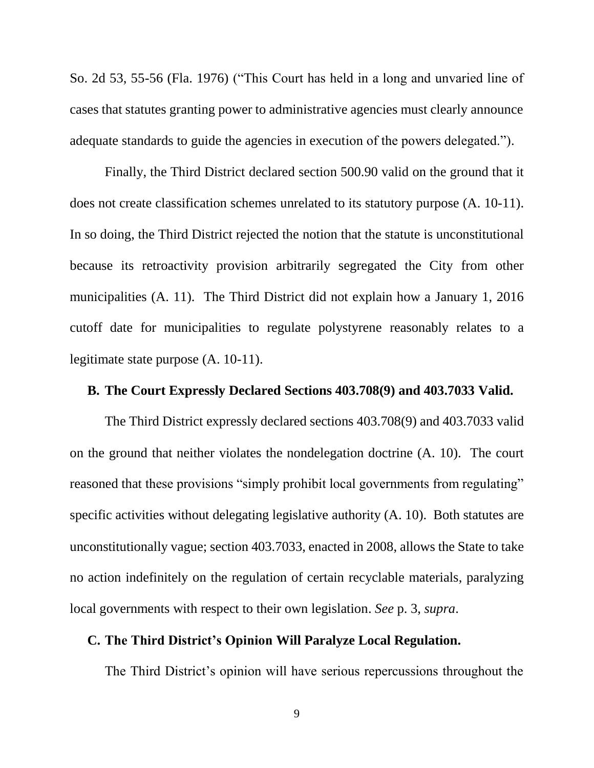So. 2d 53, 55-56 (Fla. 1976) ("This Court has held in a long and unvaried line of cases that statutes granting power to administrative agencies must clearly announce adequate standards to guide the agencies in execution of the powers delegated.").

Finally, the Third District declared section 500.90 valid on the ground that it does not create classification schemes unrelated to its statutory purpose (A. 10-11). In so doing, the Third District rejected the notion that the statute is unconstitutional because its retroactivity provision arbitrarily segregated the City from other municipalities (A. 11). The Third District did not explain how a January 1, 2016 cutoff date for municipalities to regulate polystyrene reasonably relates to a legitimate state purpose (A. 10-11).

## <span id="page-11-0"></span>**B. The Court Expressly Declared Sections 403.708(9) and 403.7033 Valid.**

The Third District expressly declared sections 403.708(9) and 403.7033 valid on the ground that neither violates the nondelegation doctrine (A. 10). The court reasoned that these provisions "simply prohibit local governments from regulating" specific activities without delegating legislative authority (A. 10). Both statutes are unconstitutionally vague; section 403.7033, enacted in 2008, allows the State to take no action indefinitely on the regulation of certain recyclable materials, paralyzing local governments with respect to their own legislation. *See* p. 3, *supra*.

## <span id="page-11-1"></span>**C. The Third District's Opinion Will Paralyze Local Regulation.**

The Third District's opinion will have serious repercussions throughout the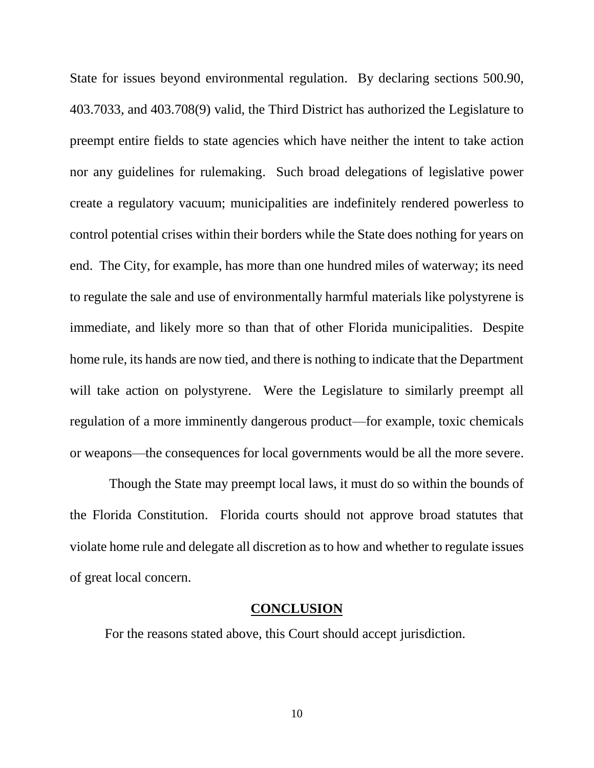State for issues beyond environmental regulation. By declaring sections 500.90, 403.7033, and 403.708(9) valid, the Third District has authorized the Legislature to preempt entire fields to state agencies which have neither the intent to take action nor any guidelines for rulemaking. Such broad delegations of legislative power create a regulatory vacuum; municipalities are indefinitely rendered powerless to control potential crises within their borders while the State does nothing for years on end. The City, for example, has more than one hundred miles of waterway; its need to regulate the sale and use of environmentally harmful materials like polystyrene is immediate, and likely more so than that of other Florida municipalities. Despite home rule, its hands are now tied, and there is nothing to indicate that the Department will take action on polystyrene. Were the Legislature to similarly preempt all regulation of a more imminently dangerous product—for example, toxic chemicals or weapons—the consequences for local governments would be all the more severe.

Though the State may preempt local laws, it must do so within the bounds of the Florida Constitution. Florida courts should not approve broad statutes that violate home rule and delegate all discretion as to how and whether to regulate issues of great local concern.

#### **CONCLUSION**

<span id="page-12-0"></span>For the reasons stated above, this Court should accept jurisdiction.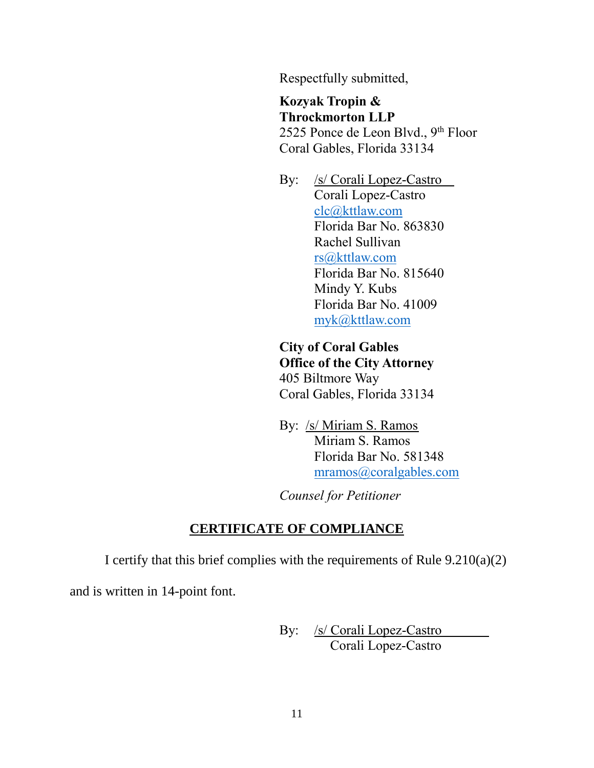Respectfully submitted,

**Kozyak Tropin & Throckmorton LLP** 2525 Ponce de Leon Blvd., 9<sup>th</sup> Floor Coral Gables, Florida 33134

By: /s/ Corali Lopez-Castro Corali Lopez-Castro [clc@kttlaw.com](mailto:clc@kttlaw.com) Florida Bar No. 863830 Rachel Sullivan [rs@kttlaw.com](mailto:rs@kttlaw.com) Florida Bar No. 815640 Mindy Y. Kubs Florida Bar No. 41009 [myk@kttlaw.com](mailto:myk@kttlaw.com)

**City of Coral Gables Office of the City Attorney** 405 Biltmore Way Coral Gables, Florida 33134

By: /s/ Miriam S. Ramos Miriam S. Ramos Florida Bar No. 581348 [mramos@coralgables.com](mailto:mramos@coralgables.com)

*Counsel for Petitioner*

## **CERTIFICATE OF COMPLIANCE**

I certify that this brief complies with the requirements of Rule  $9.210(a)(2)$ 

and is written in 14-point font.

By: /s/ Corali Lopez-Castro Corali Lopez-Castro